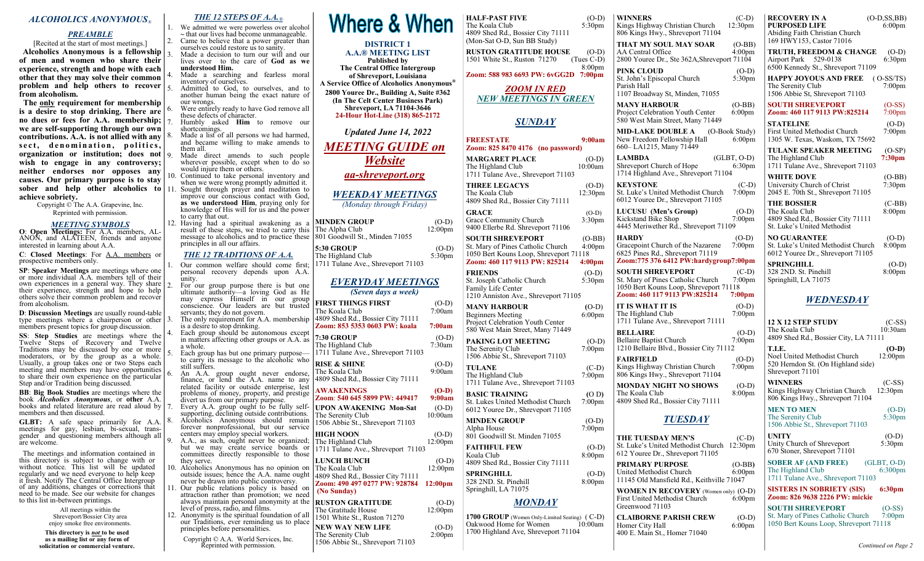### *ALCOHOLICS ANONYMOUS®*

### *PREAMBLE*

[Recited at the start of most meetings.] **Alcoholics Anonymous is a fellowship of men and women who share their experience, strength and hope with each other that they may solve their common problem and help others to recover from alcoholism.**

 **The only requirement for membership is a desire to stop drinking. There are no dues or fees for A.A. membership; we are self-supporting through our own contributions. A.A. is not allied with any**  sect, denomination, politics, **organization or institution; does not wish to engage in any controversy; neither endorses nor opposes any causes. Our primary purpose is to stay sober and help other alcoholics to** 11. Sought through prayer and meditation to **achieve sobriety.**

Copyright © The A.A. Grapevine, Inc. Reprinted with permission.

### *MEETING SYMBOLS*

**O**: **Open Meetings:** For A.A. members, AL-ANON, and ALATEEN, friends and anyone interested in learning about A.A.

**C**: **Closed Meetings**: For A.A. members or prospective members only.

**SP**: **Speaker Meetings** are meetings where one or more individual A.A. members tell of their own experiences in a general way. They share their experience, strength and hope to help others solve their common problem and recover from alcoholism.

**D**: **Discussion Meetings** are usually round-table type meetings where a chairperson or other members present topics for group discussion.

**SS: Step Studies** are meetings where the Twelve Steps of Recovery and Twelve Traditions may be discussed by one or more moderators, or by the group as a whole. Usually, a group takes one or two Steps each meeting and members may have opportunities to share their own experience on the particular Step and/or Tradition being discussed.

**BB**: **Big Book Studies** are meetings where the book *Alcoholics Anonymous*, or **other** A.A. books and related literature are read aloud by  $|7|$ members and then discussed.

**GLBT:** A safe space primarily for A.A. meetings for gay, lesbian, bi-sexual, transgender and questioning members although all are welcome.

 The meetings and information contained in this directory is subject to change with or without notice. This list will be updated regularly and we need everyone to help keep it fresh. Notify The Central Office Intergroup of any additions, changes or corrections that need to be made. See our website for changes to this list in-between printings.

> All meetings within the Shreveport/Bossier City area enjoy smoke free environments.

**This directory is** *not* **to be used as a mailing list or any form of solicitation or commercial venture.** *THE 12 STEPS OF A.A.®*

1. We admitted we were powerless over alcohol **~** that our lives had become unmanageable. 2. Came to believe that a power greater than ourselves could restore us to sanity. Made a decision to turn our will and our lives over to the care of **God as we understood Him.**

Made a searching and fearless moral inventory of ourselves.

5. Admitted to God, to ourselves, and to another human being the exact nature of our wrongs.

Were entirely ready to have God remove all these defects of character.

7. Humbly asked **Him** to remove our shortcomings. Made a list of all persons we had harmed,

and became willing to make amends to them all. Made direct amends to such people

- wherever possible, except when to do so would injure them or others.
- 10. Continued to take personal inventory and when we were wrong promptly admitted it.

improve our conscious contact with God, as we understood Him, praying only for knowledge of His will for us and the power to carry that out.

12. Having had a spiritual awakening as a result of these steps, we tried to carry this Tl message to alcoholics and to practice these  $80$ principles in all our affairs.

### *THE 12 TRADITIONS OF A.A.*

Our common welfare should come first; personal recovery depends upon A.A. unity.

For our group purpose there is but one ultimate authority—a loving God as He may express Himself in our group conscience. Our leaders are but trusted servants; they do not govern. The only requirement for A.A. membership is a desire to stop drinking. Each group should be autonomous except in matters affecting other groups or A.A. as a whole. Each group has but one primary purpose to carry its message to the alcoholic who still suffers. 6. An A.A. group ought never endorse, finance, or lend the A.A. name to any related facility or outside enterprise, lest problems of money, property, and prestige divert us from our primary purpose. Every A.A. group ought to be fully selfsupporting, declining outside contributions. Alcoholics Anonymous should remain forever nonprofessional, but our service centers may employ special workers. A.A., as such, ought never be organized; but we may create service boards or committees directly responsible to those they serve. 10. Alcoholics Anonymous has no opinion on outside issues; hence the A.A. name ought never be drawn into public controversy. 11. Our public relations policy is based on attraction rather than promotion; we need always maintain personal anonymity at the level of press, radio, and films.

12. Anonymity is the spiritual foundation of all our Traditions, ever reminding us to place principles before personalities.

Copyright © A.A. World Services, Inc. Reprinted with permission.



#### **DISTRICT 1 A.A.® MEETING LIST**

**Published by The Central Office Intergroup of Shreveport, Louisiana A Service Office of Alcoholics Anonymous® 2800 Youree Dr., Building A, Suite #362 (In The Celt Center Business Park) Shreveport, LA 71104-3646 24-Hour Hot-Line (318) 865-2172**

*Updated June 14, 2022*

# *MEETING GUIDE on Website*

*aa-shreveport.org*

# *WEEKDAY MEETINGS*

*(Monday through Friday)*

| MINDEN GROUP                   | $(O-D)$    |
|--------------------------------|------------|
| The Alpha Club                 | $12:00$ pm |
| 801 Goodwill St., Minden 71055 |            |

| 5:30 GROUP                         | $(O-D)$   |
|------------------------------------|-----------|
| The Highland Club                  | $5:30$ pm |
| 1711 Tulane Ave., Shreveport 71103 |           |

### *EVERYDAY MEETINGS (Seven days a week)*

| <b>FIRST THINGS FIRST</b><br>The Koala Club                                            | $(O-D)$<br>7:00am              |
|----------------------------------------------------------------------------------------|--------------------------------|
| 4809 Shed Rd., Bossier City 71111<br>Zoom: 853 5353 0603 PW: koala                     | 7:00am                         |
| <b>7:30 GROUP</b><br>The Highland Club<br>1711 Tulane Ave., Shreveport 71103           | $(O-D)$<br>7:30am              |
| <b>RISE &amp; SHINE</b><br>The Koala Club<br>4809 Shed Rd., Bossier City 71111         | $(O-D)$<br>9:00am              |
| <b>AWAKENINGS</b><br>Zoom: 540 645 5899 PW: 449417                                     | $(O-D)$<br>9:00am              |
| <b>UPON AWAKENING Mon-Sat</b><br>The Serenity Club<br>1506 Abbie St., Shreveport 71103 | $(O-D)$<br>10:00am             |
| <b>HIGH NOON</b><br>The Highland Club<br>1711 Tulane Ave., Shreveport 71103            | $(O-D)$<br>12:00 <sub>pm</sub> |
| <b>LUNCH BUNCH</b><br>The Koala Club<br>4809 Shed Rd., Bossier City 71111              | $(O-D)$<br>12:00 <sub>pm</sub> |
| Zoom: 490 497 0277 PW: 928784<br>(No Sunday)                                           | 12:00 <sub>pm</sub>            |
| <b>RUSTON GRATITUDE</b><br>The Gratitude House<br>1501 White St., Ruston 71270         | $(O-D)$<br>12:00 <sub>pm</sub> |
| <b>NEW WAY NEW LIFE</b><br>The Serenity Club                                           | $(O-D)$<br>2:00 <sub>pm</sub>  |

1506 Abbie St., Shreveport 71103

**HALF-PAST FIVE** (O-D) The Koala Club 5:30pm 4809 Shed Rd., Bossier City 71111 (Mon-Sat O-D, Sun BB Study) **RUSTON GRATITUDE HOUSE** (O-D) 1501 White St., Ruston 71270 (Tues C-D) 1501 White St., Ruston 71270 8:00pm **Zoom: 588 983 6693 PW: 6vGG2D 7:00pm** *ZOOM IN RED NEW MEETINGS IN GREEN SUNDAY*  **FREESTATE 9:00am Zoom: 825 8470 4176 (no password) MARGARET PLACE** (O-D)<br>The Highland Club 10:00am The Highland Club 1711 Tulane Ave., Shreveport 71103 **THREE LEGACYS** (O-D) The Koala Club 12:30pm 4809 Shed Rd., Bossier City 71111 GRACE (O-D)<br>Grace Community Church 3:30pm Grace Community Church 9400 Ellerbe Rd. Shreveport 71106 **SOUTH SHREVEPORT** (O-BB) St. Mary of Pines Catholic Church 4:00pm 1050 Bert Kouns Loop, Shreveport 71118<br>**Zoom: 460 117 9113 PW: 825214** 4:00pm **Zoom: 460 117 9113 PW: 825214 FRIENDS** (O-D)<br>St. Joseph Catholic Church 5:30pm St. Joseph Catholic Church Family Life Center 1210 Anniston Ave., Shreveport 71105 **MANY HARBOUR (**O-D) Beginners Meeting 6:00pm Project Celebration Youth Center 580 West Main Street, Many 71449 **PAKING LOT MEETING** (O-D)<br>The Serenity Club 7:00pm The Serenity Club 1506 Abbie St., Shreveport 71103 **TULANE** (C-D) The Highland Club 7:00pm 1711 Tulane Ave., Shreveport 71103 **BASIC TRAINING** (O D)<br>St. Lukes United Methodist Church 7:00pm St. Lukes United Methodist Church 6012 Youree Dr., Shreveport 71105 **MINDEN GROUP** (O-D)<br>Alpha House 7:00pm Alpha House 801 Goodwill St. Minden 71055 **FAITHFUL FEW** (O-D)<br>Koala Club 8:00pm Koala Club 4809 Shed Rd., Bossier City 71111 **SPRINGHILL** (O-D)<br>328 2ND. St. Pinehill 8:00pm 328 2ND. St. Pinehill Springhill, LA 71075 *MONDAY* **1700 GROUP** (Women Only-Limited Seating) (C-D)<br>Oakwood Home for Women 10:00am Oakwood Home for Women

1700 Highland Ave, Shreveport 71104

### **WINNERS** (C-D) Kings Highway Christian Church 12:30pm 806 Kings Hwy., Shreveport 71104 **THAT MY SOUL MAY SOAR** (O-BB)<br>AA Central Office 4:00pm AA Central Office 2800 Youree Dr., Ste 362A,Shreveport 71104 **PINK CLOUD** (O-D) St. John's Episcopal Church 5:30pm Parish Hall 1107 Broadway St, Minden, 71055 **MANY HARBOUR** (O-BB)<br>Project Celebration Youth Center 6:00pm Project Celebration Youth Center 580 West Main Street, Many 71449 **MID-LAKE DOUBLE A** (O-Book Study)<br>New Freedom Fellowship Hall 6:00pm New Freedom Fellowship Hall 660– LA1215, Many 71449 **LAMBDA** (GLBT, O-D) Shreveport Church of Hope 6:30pm 1714 Highland Ave., Shreveport 71104 **KEYSTONE** (C-D) St. Luke's United Methodist Church 7:00pm 6012 Youree Dr., Shreveport 71105 **LUCUSU (Men's Group)** (O-D)<br>Kickstand Bike Shop 7:00pm Kickstand Bike Shop 4445 Meriwether Rd., Shreveport 71109 **HARDY** (O-D)<br>Gracepoint Church of the Nazarene 7:00pm Gracepoint Church of the Nazarene 6825 Pines Rd., Shreveport 71119 **Zoom:775 376 6412 PW:hardygroup7:00pm SOUTH SHREVEPORT** (C-D)<br>St. Mary of Pines Catholic Church 7:00pm St. Mary of Pines Catholic Church 1050 Bert Kouns Loop, Shreveport 71118 **Zoom: 460 117 9113 PW:825214 7:00pm IT IS WHAT IT IS** (O-D)<br>The Highland Club 7:00pm The Highland Club 1711 Tulane Ave., Shreveport 71111 **BELLAIRE** (O-D)<br>Bellaire Baptist Church 7:00pm **Bellaire Baptist Church** 1210 Bellaire Blvd., Bossier City 71112 **FAIRFIELD** (O-D)<br> **Kings Highway Christian Church** 7:00pm Kings Highway Christian Church 806 Kings Hwy., Shreveport 71104 **MONDAY NIGHT NO SHOWS** (O-D)<br>The Koala Club 8:00pm

The Koala Club 4809 Shed Rd., Bossier City 71111

## *TUESDAY*

**THE TUESDAY MEN'S** (C-D) St. Luke's United Methodist Church 12:30pm 612 Youree Dr., Shreveport 71105

**PRIMARY PURPOSE** (O-BB)<br>United Methodist Church 6:00pm United Methodist Church 11145 Old Mansfield Rd., Keithville 71047

**WOMEN IN RECOVERY** (Women only) (O-D)<br>First United Methodist Church 6:00pm First United Methodist Church Greenwood 71103

**CLAIBORNE PARISH CREW** (O-D)<br>Homer City Hall 6:00pm Homer City Hall 400 E. Main St., Homer 71040

**RECOVERY IN A** (O-D,SS,BB) **PURPOSED LIFE** 6:00pm Abiding Faith Christian Church 169 HWY153, Castor 71016 **TRUTH, FREEDOM & CHANGE** (O-D)<br>Airport Park 529-0138 6:30pm Airport Park 529-0138 6500 Kennedy St., Shreveport 71109 **HAPPY JOYOUS AND FREE** (O-SS/TS)<br>The Serenity Club 7:00pm The Serenity Club 1506 Abbie St, Shreveport 71103 **SOUTH SHREVEPORT** (O-SS)<br>**Zoom: 460 117 9113 PW:825214** 7:00pm  $\text{Zoom: } 460$  117 9113 PW:825214 **STATELINE** (O-D)<br>First United Methodist Church 7:00pm First United Methodist Church 1305 W. Texas, Waskom, TX 75692 **TULANE SPEAKER MEETING** (O-SP) The Highland Club **7:30pm** 1711 Tulane Ave., Shreveport 71103 **WHITE DOVE** (O-BB) University Church of Christ 7:30pm 2045 E. 70th St., Shreveport 71105 **THE BOSSIER** (C-BB)<br>The Koala Club 8:00pm The Koala Club 4809 Shed Rd., Bossier City 71111 St. Luke's United Methodist **NO GUARANTEE** (O-D)<br>St. Luke's United Methodist Church 8:00pm St. Luke's United Methodist Church 6012 Youree Dr., Shreveport 71105 **SPRINGHILL** (O-D)<br>
328 2ND. St. Pinehill 8:00pm 328 2ND. St. Pinehill Springhill, LA 71075 *WEDNESDAY* **12 X 12 STEP STUDY** (C-SS) The Koala Club 10:30am 4809 Shed Rd., Bossier City, LA 71111 **T.I.E.** (O-D)<br>Noel United Methodist Church 12:00pm Noel United Methodist Church 520 Herndon St. (On Highland side) Shreveport 71101

**WINNERS** (C-SS) Kings Highway Christian Church 12:30pm 806 Kings Hwy., Shreveport 71104

**MEN TO MEN** (O-D) The Serenity Club 5:30pm 1506 Abbie St., Shreveport 71103

**UNITY** (O-D)<br>Unity Church of Shreveport 5:30pm Unity Church of Shreveport 670 Stoner, Shreveport 71101

**SOBER AF (AND FREE)** (GLBT, O-D)<br>The Highland Club 6:300pm The Highland Club 1711 Tulane Ave., Shreveport 71103

### **SISTERS IN SOBRIETY (SIS) 6:30pm Zoom: 826 9638 2226 PW: mickie**

**SOUTH SHREVEPORT** (O-SS)<br>St. Mary of Pines Catholic Church 7:00pm St. Mary of Pines Catholic Church 1050 Bert Kouns Loop, Shreveport 71118

*Continued on Page 2*